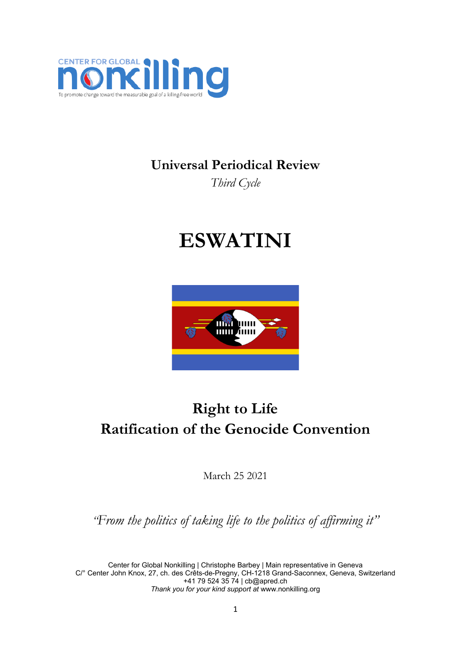

## **Universal Periodical Review**

*Third Cycle*

# **ESWATINI**



## **Right to Life Ratification of the Genocide Convention**

March 25 2021

*"From the politics of taking life to the politics of affirming it"*

Center for Global Nonkilling | Christophe Barbey | Main representative in Geneva C/° Center John Knox, 27, ch. des Crêts-de-Pregny, CH-1218 Grand-Saconnex, Geneva, Switzerland +41 79 524 35 74 | [cb@apred.ch](mailto:cb@apred.ch) *Thank you for your kind support at* [www.nonkilling.org](http://www.nonkilling.org)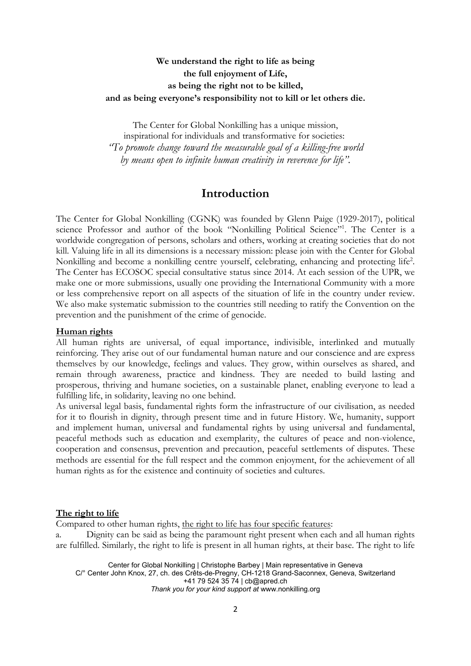### **We understand the right to life as being the full enjoyment of Life, as being the right not to be killed, and as being everyone'<sup>s</sup> responsibility not to kill or let others die.**

The Center for Global Nonkilling has <sup>a</sup> unique mission, inspirational for individuals and transformative for societies: *"To promote change toward the measurable goal of <sup>a</sup> killing-free world by means open to infinite human creativity in reverence for life".*

## **Introduction**

The Center for Global Nonkilling (CGNK) was founded by Glenn Paige (1929-2017), political science Professor and author of the book "Nonkilling Political Science"<sup>1</sup> . The Center is <sup>a</sup> worldwide congregation of persons, scholars and others, working at creating societies that do not kill. Valuing life in all its dimensions is <sup>a</sup> necessary mission: please join with the Center for Global Nonkilling and become <sup>a</sup> nonkilling centre yourself, celebrating, enhancing and protecting life 2 . The Center has ECOSOC special consultative status since 2014. At each session of the UPR, we make one or more submissions, usually one providing the International Community with <sup>a</sup> more or less comprehensive report on all aspects of the situation of life in the country under review. We also make systematic submission to the countries still needing to ratify the Convention on the prevention and the punishment of the crime of genocide.

#### **Human rights**

All human rights are universal, of equal importance, indivisible, interlinked and mutually reinforcing. They arise out of our fundamental human nature and our conscience and are express themselves by our knowledge, feelings and values. They grow, within ourselves as shared, and remain through awareness, practice and kindness. They are needed to build lasting and prosperous, thriving and humane societies, on <sup>a</sup> sustainable planet, enabling everyone to lead <sup>a</sup> fulfilling life, in solidarity, leaving no one behind.

As universal legal basis, fundamental rights form the infrastructure of our civilisation, as needed for it to flourish in dignity, through present time and in future History. We, humanity, support and implement human, universal and fundamental rights by using universal and fundamental, peaceful methods such as education and exemplarity, the cultures of peace and non-violence, cooperation and consensus, prevention and precaution, peaceful settlements of disputes. These methods are essential for the full respect and the common enjoyment, for the achievement of all human rights as for the existence and continuity of societies and cultures.

#### **The right to life**

Compared to other human rights, the right to life has four specific features:

a. Dignity can be said as being the paramount right present when each and all human rights are fulfilled. Similarly, the right to life is present in all human rights, at their base. The right to life

Center for Global Nonkilling | Christophe Barbey | Main representative in Geneva C/° Center John Knox, 27, ch. des Crêts-de-Pregny, CH-1218 Grand-Saconnex, Geneva, Switzerland +41 79 524 35 74 | [cb@apred.ch](mailto:cb@apred.ch) *Thank you for your kind support at* [www.nonkilling.org](http://www.nonkilling.org)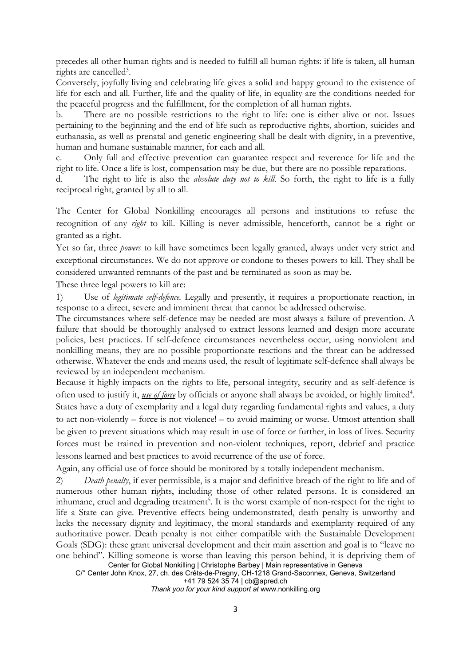precedes all other human rights and is needed to fulfill all human rights: if life is taken, all human rights are cancelled<sup>3</sup>.

Conversely, joyfully living and celebrating life gives <sup>a</sup> solid and happy ground to the existence of life for each and all. Further, life and the quality of life, in equality are the conditions needed for the peaceful progress and the fulfillment, for the completion of all human rights.

b. There are no possible restrictions to the right to life: one is either alive or not. Issues pertaining to the beginning and the end of life such as reproductive rights, abortion, suicides and euthanasia, as well as prenatal and genetic engineering shall be dealt with dignity, in <sup>a</sup> preventive, human and humane sustainable manner, for each and all.

c. Only full and effective prevention can guarantee respect and reverence for life and the right to life. Once <sup>a</sup> life is lost, compensation may be due, but there are no possible reparations.

d. The right to life is also the *absolute duty not to kill*. So forth, the right to life is <sup>a</sup> fully reciprocal right, granted by all to all.

The Center for Global Nonkilling encourages all persons and institutions to refuse the recognition of any *right* to kill. Killing is never admissible, henceforth, cannot be <sup>a</sup> right or granted as <sup>a</sup> right.

Yet so far, three *powers* to kill have sometimes been legally granted, always under very strict and exceptional circumstances. We do not approve or condone to theses powers to kill. They shall be considered unwanted remnants of the past and be terminated as soon as may be.

These three legal powers to kill are:

1) Use of *legitimate self-defence.* Legally and presently, it requires <sup>a</sup> proportionate reaction, in response to <sup>a</sup> direct, severe and imminent threat that cannot be addressed otherwise.

The circumstances where self-defence may be needed are most always <sup>a</sup> failure of prevention. A failure that should be thoroughly analysed to extract lessons learned and design more accurate policies, best practices. If self-defence circumstances nevertheless occur, using nonviolent and nonkilling means, they are no possible proportionate reactions and the threat can be addressed otherwise. Whatever the ends and means used, the result of legitimate self-defence shall always be reviewed by an independent mechanism.

Because it highly impacts on the rights to life, personal integrity, security and as self-defence is often used to justify it, <u>use of force</u> by officials or anyone shall always be avoided, or highly limited<sup>4</sup>. States have <sup>a</sup> duty of exemplarity and <sup>a</sup> legal duty regarding fundamental rights and values, <sup>a</sup> duty to act non-violently – force is not violence! – to avoid maiming or worse. Utmost attention shall be given to prevent situations which may result in use of force or further, in loss of lives. Security forces must be trained in prevention and non-violent techniques, report, debrief and practice lessons learned and best practices to avoid recurrence of the use of force.

Again, any official use of force should be monitored by <sup>a</sup> totally independent mechanism.

Center for Global Nonkilling | Christophe Barbey | Main representative in Geneva 2) *Death penalty*, if ever permissible, is <sup>a</sup> major and definitive breach of the right to life and of numerous other human rights, including those of other related persons. It is considered an inhumane, cruel and degrading treatment 5 . It is the worst example of non-respect for the right to life <sup>a</sup> State can give. Preventive effects being undemonstrated, death penalty is unworthy and lacks the necessary dignity and legitimacy, the moral standards and exemplarity required of any authoritative power. Death penalty is not either compatible with the Sustainable Development Goals (SDG): these grant universal development and their main assertion and goal is to "leave no one behind". Killing someone is worse than leaving this person behind, it is depriving them of

C/° Center John Knox, 27, ch. des Crêts-de-Pregny, CH-1218 Grand-Saconnex, Geneva, Switzerland +41 79 524 35 74 | [cb@apred.ch](mailto:cb@apred.ch)

*Thank you for your kind support at* [www.nonkilling.org](http://www.nonkilling.org)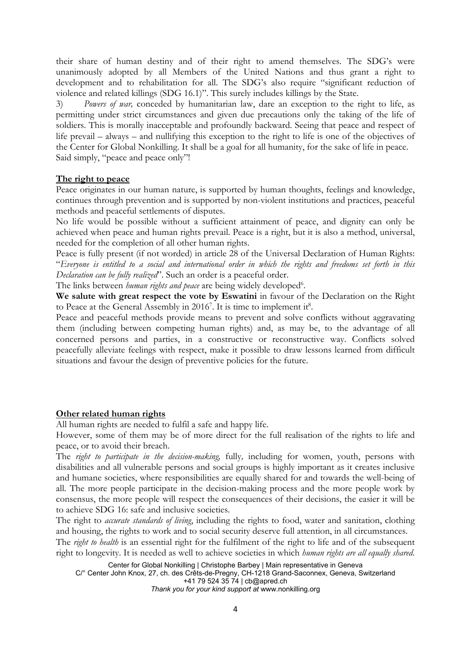their share of human destiny and of their right to amend themselves. The SDG'<sup>s</sup> were unanimously adopted by all Members of the United Nations and thus grant <sup>a</sup> right to development and to rehabilitation for all. The SDG'<sup>s</sup> also require "significant reduction of violence and related killings (SDG 16.1)". This surely includes killings by the State.

3) *Powers of war,* conceded by humanitarian law, dare an exception to the right to life, as permitting under strict circumstances and given due precautions only the taking of the life of soldiers. This is morally inacceptable and profoundly backward. Seeing that peace and respect of life prevail – always – and nullifying this exception to the right to life is one of the objectives of the Center for Global Nonkilling. It shall be <sup>a</sup> goal for all humanity, for the sake of life in peace. Said simply, "peace and peace only"!

#### **The right to peace**

Peace originates in our human nature, is supported by human thoughts, feelings and knowledge, continues through prevention and is supported by non-violent institutions and practices, peaceful methods and peaceful settlements of disputes.

No life would be possible without <sup>a</sup> sufficient attainment of peace, and dignity can only be achieved when peace and human rights prevail. Peace is <sup>a</sup> right, but it is also <sup>a</sup> method, universal, needed for the completion of all other human rights.

Peace is fully present (if not worded) in article 28 of the Universal Declaration of Human Rights: "Everyone is entitled to a social and international order in which the rights and freedoms set forth in this *Declaration can be fully realized*". Such an order is <sup>a</sup> peaceful order.

The links between *human rights and peace* are being widely developed<sup>6</sup>.

**We salute with great respect the vote by Eswatini** in favour of the Declaration on the Right to Peace at the General Assembly in 2016<sup>7</sup>. It is time to implement it<sup>8</sup>.

Peace and peaceful methods provide means to prevent and solve conflicts without aggravating them (including between competing human rights) and, as may be, to the advantage of all concerned persons and parties, in <sup>a</sup> constructive or reconstructive way. Conflicts solved peacefully alleviate feelings with respect, make it possible to draw lessons learned from difficult situations and favour the design of preventive policies for the future.

#### **Other related human rights**

All human rights are needed to fulfil <sup>a</sup> safe and happy life.

However, some of them may be of more direct for the full realisation of the rights to life and peace, or to avoid their breach.

The *right to participate in the decision-making,* fully*,* including for women, youth, persons with disabilities and all vulnerable persons and social groups is highly important as it creates inclusive and humane societies, where responsibilities are equally shared for and towards the well-being of all. The more people participate in the decision-making process and the more people work by consensus, the more people will respect the consequences of their decisions, the easier it will be to achieve SDG 16: safe and inclusive societies.

The right to *accurate standards of living*, including the rights to food, water and sanitation, clothing and housing, the rights to work and to social security deserve full attention, in all circumstances.

The *right to health* is an essential right for the fulfilment of the right to life and of the subsequent right to longevity. It is needed as well to achieve societies in which *human rights are all equally shared*.

Center for Global Nonkilling | Christophe Barbey | Main representative in Geneva C/° Center John Knox, 27, ch. des Crêts-de-Pregny, CH-1218 Grand-Saconnex, Geneva, Switzerland

+41 79 524 35 74 | [cb@apred.ch](mailto:cb@apred.ch)

*Thank you for your kind support at* [www.nonkilling.org](http://www.nonkilling.org)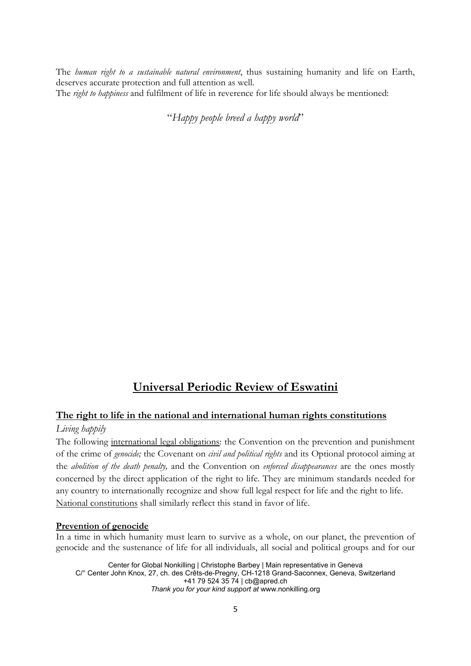The *human right to <sup>a</sup> sustainable natural environment*, thus sustaining humanity and life on Earth, deserves accurate protection and full attention as well. The *right to happiness* and fulfilment of life in reverence for life should always be mentioned:

"*Happy people breed <sup>a</sup> happy world*"

## **Universal Periodic Review of Eswatini**

### **The right to life in the national and international human rights constitutions**

#### *Living happily*

The following international legal obligations: the Convention on the prevention and punishment of the crime of *genocide;* the Covenant on *civil and political rights* and its Optional protocol aiming at the *abolition of the death penalty,* and the Convention on *enforced disappearances* are the ones mostly concerned by the direct application of the right to life. They are minimum standards needed for any country to internationally recognize and show full legal respect for life and the right to life. National constitutions shall similarly reflect this stand in favor of life.

#### **Prevention of genocide**

In <sup>a</sup> time in which humanity must learn to survive as <sup>a</sup> whole, on our planet, the prevention of genocide and the sustenance of life for all individuals, all social and political groups and for our

Center for Global Nonkilling | Christophe Barbey | Main representative in Geneva C/° Center John Knox, 27, ch. des Crêts-de-Pregny, CH-1218 Grand-Saconnex, Geneva, Switzerland +41 79 524 35 74 | [cb@apred.ch](mailto:cb@apred.ch) *Thank you for your kind support at* [www.nonkilling.org](http://www.nonkilling.org)